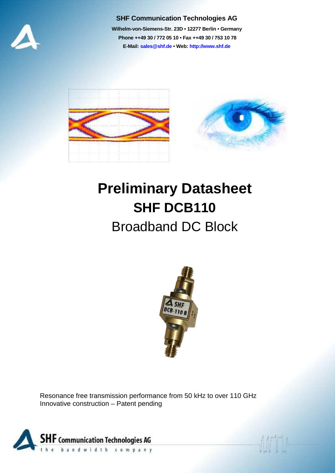

### **SHF Communication Technologies AG**

**Wilhelm-von-Siemens-Str. 23D • 12277 Berlin • Germany Phone ++49 30 / 772 05 10 • Fax ++49 30 / 753 10 78 E-Mail: sales@shf.de • Web: http://www.shf.de**



## **Preliminary Datasheet SHF DCB110**  Broadband DC Block



Resonance free transmission performance from 50 kHz to over 110 GHz Innovative construction – Patent pending

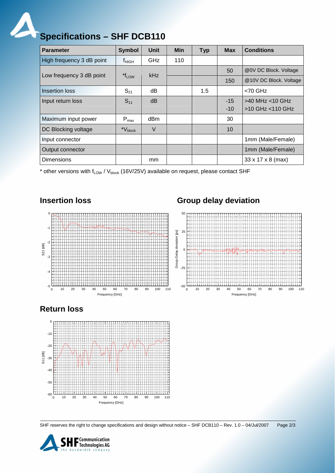# **Specifications – SHF DCB110**

| <b>Parameter</b>          | <b>Symbol</b>       | Unit       | <b>Min</b> | <b>Typ</b> | <b>Max</b> | <b>Conditions</b>      |
|---------------------------|---------------------|------------|------------|------------|------------|------------------------|
| High frequency 3 dB point | f <sub>нісн</sub>   | <b>GHz</b> | 110        |            |            |                        |
| Low frequency 3 dB point  | $*f_{LOW}$          | kHz        |            |            | 50         | @OV DC Block. Voltage  |
|                           |                     |            |            |            | 150        | @10V DC Block. Voltage |
| Insertion loss            | $S_{21}$            | dB         |            | 1.5        |            | $<$ 70 GHz             |
| Input return loss         | $S_{11}$            | dB         |            |            | $-15$      | $>40$ MHz $<$ 10 GHz   |
|                           |                     |            |            |            | $-10$      | >10 GHz <110 GHz       |
| Maximum input power       | $P_{\text{max}}$    | dBm        |            |            | 30         |                        |
| DC Blocking voltage       | *V <sub>block</sub> | $\vee$     |            |            | 10         |                        |
| Input connector           |                     |            |            |            |            | 1mm (Male/Female)      |
| Output connector          |                     |            |            |            |            | 1mm (Male/Female)      |
| <b>Dimensions</b>         |                     | mm         |            |            |            | 33 x 17 x 8 (max)      |

\* other versions with  $f_{LOW}$  /  $V_{block}$  (16V/25V) available on request, please contact SHF

## **Insertion loss Group delay deviation**



## **Return loss**



SHF reserves the right to change specifications and design without notice – SHF DCB110 – Rev. 1.0 – 04/Jul/2007 Page 2/3